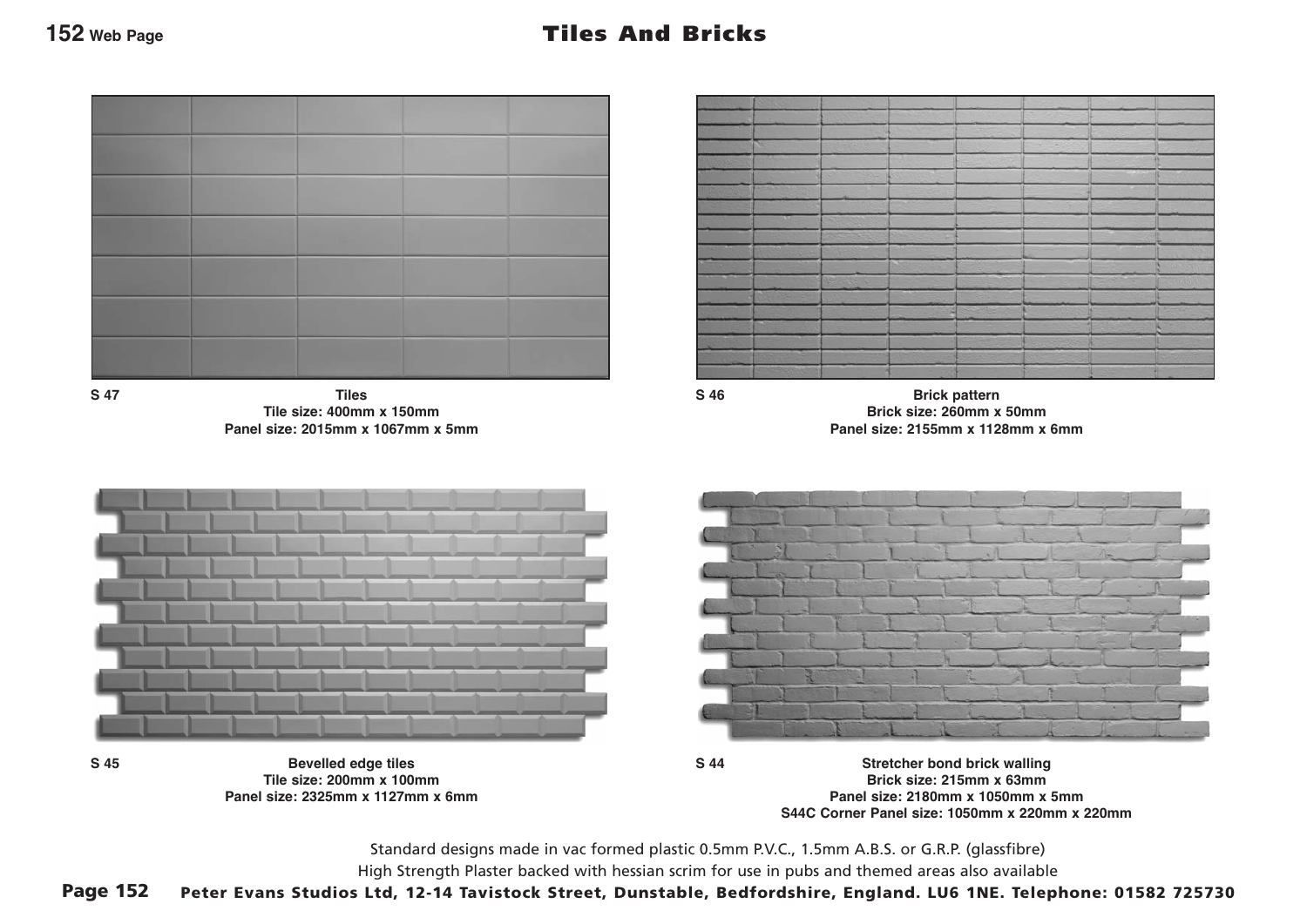## Tiles And Bricks



**Tiles Tile size: 400mm x 150mm Panel size: 2015mm x 1067mm x 5mm S 47 Brick pattern**

| <b>Report Follows</b> |    |  |  |
|-----------------------|----|--|--|
|                       |    |  |  |
| <b>DOM:</b>           |    |  |  |
|                       |    |  |  |
|                       |    |  |  |
|                       | -- |  |  |
|                       |    |  |  |
|                       |    |  |  |
|                       |    |  |  |

**Brick size: 260mm x 50mm Panel size: 2155mm x 1128mm x 6mm**



**Bevelled edge tiles Tile size: 200mm x 100mm Panel size: 2325mm x 1127mm x 6mm**



**S 45 Stretcher bond brick walling Brick size: 215mm x 63mm Panel size: 2180mm x 1050mm x 5mm S44C Corner Panel size: 1050mm x 220mm x 220mm**

Standard designs made in vac formed plastic 0.5mm P.V.C., 1.5mm A.B.S. or G.R.P. (glassfibre) High Strength Plaster backed with hessian scrim for use in pubs and themed areas also available

**S 44**

**S 46**

Page 152 Peter Evans Studios Ltd, 12-14 Tavistock Street, Dunstable, Bedfordshire, England. LU6 1NE. Telephone: 01582 725730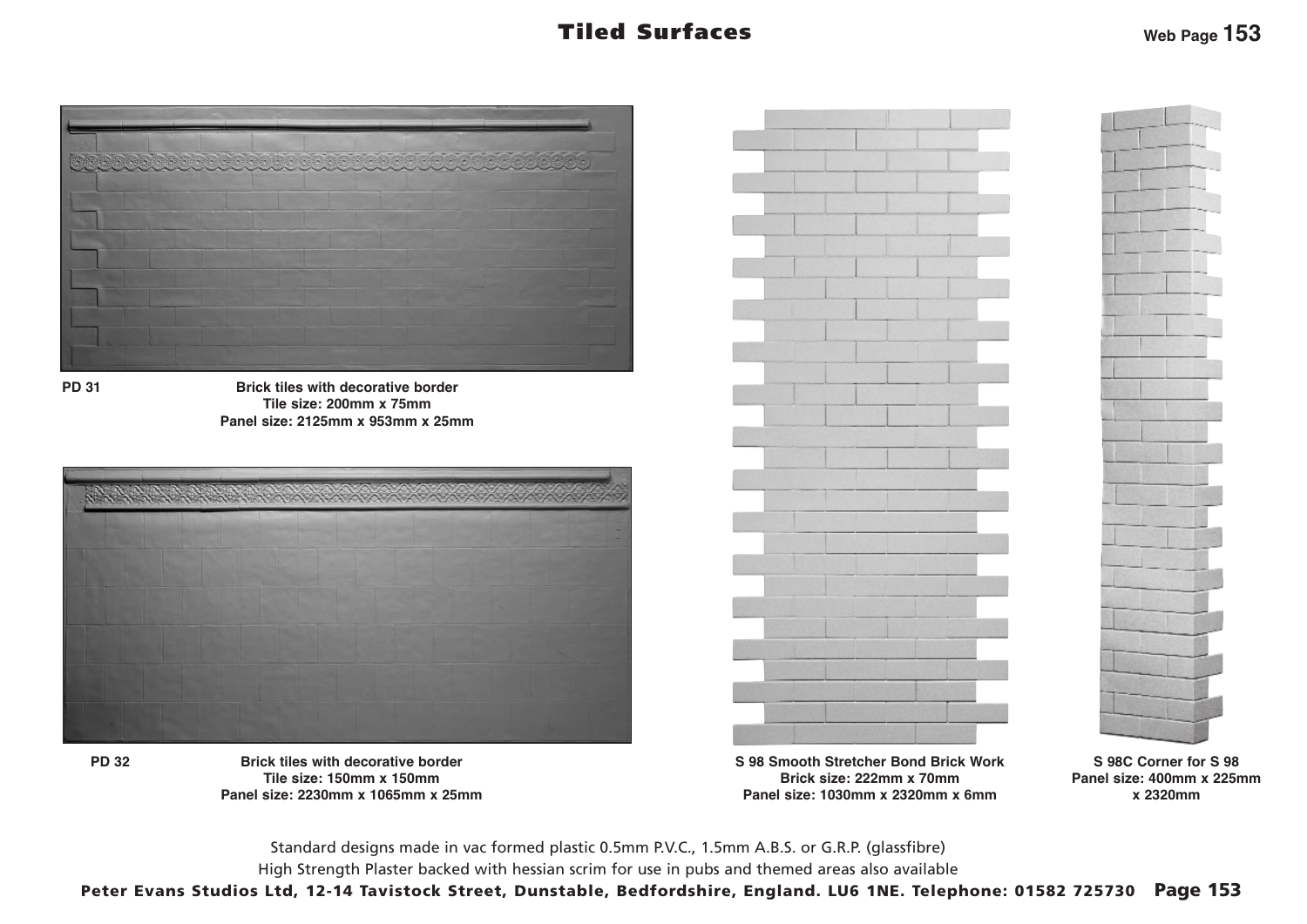## Tiled Surfaces



**Brick tiles with decorative border Tile size: 200mm x 75mm Panel size: 2125mm x 953mm x 25mm**



**PD 32**

**PD 31**

**Brick tiles with decorative border Tile size: 150mm x 150mm Panel size: 2230mm x 1065mm x 25mm**





**S 98 Smooth Stretcher Bond Brick Work Brick size: 222mm x 70mm Panel size: 1030mm x 2320mm x 6mm**

**S 98C Corner for S 98 Panel size: 400mm x 225mm x 2320mm**

Standard designs made in vac formed plastic 0.5mm P.V.C., 1.5mm A.B.S. or G.R.P. (glassfibre)

High Strength Plaster backed with hessian scrim for use in pubs and themed areas also available

Peter Evans Studios Ltd, 12-14 Tavistock Street, Dunstable, Bedfordshire, England. LU6 1NE. Telephone: 01582 725730 Page 153